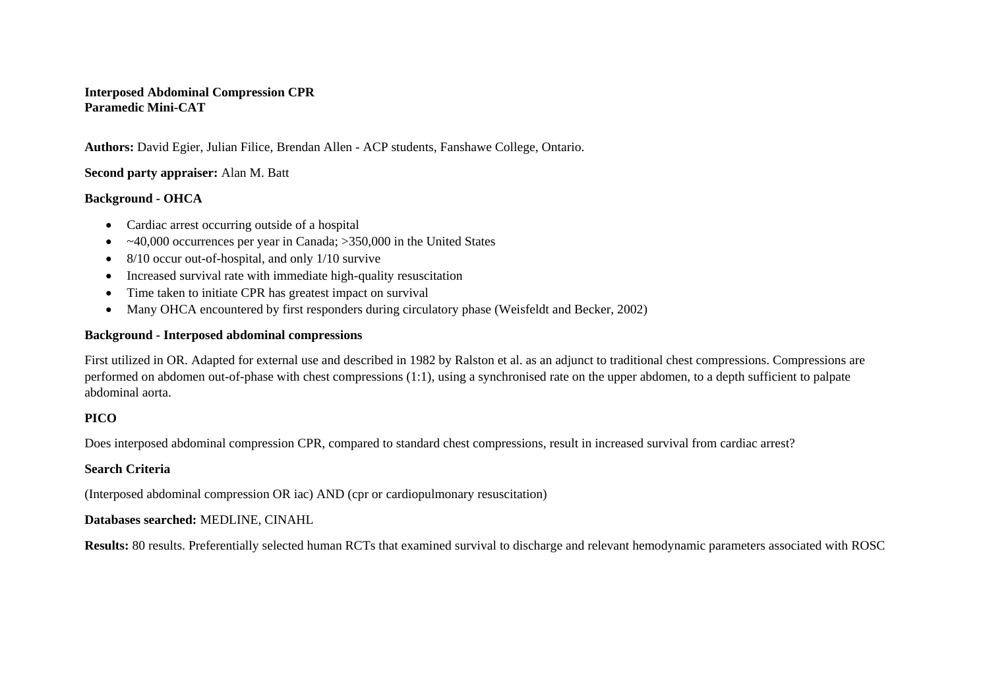### **Interposed Abdominal Compression CPR Paramedic Mini-CAT**

**Authors:** David Egier, Julian Filice, Brendan Allen - ACP students, Fanshawe College, Ontario.

# **Second party appraiser:** Alan M. Batt

### **Background - OHCA**

- Cardiac arrest occurring outside of a hospital
- $\bullet$  ~40,000 occurrences per year in Canada; >350,000 in the United States
- $\bullet$  8/10 occur out-of-hospital, and only 1/10 survive
- Increased survival rate with immediate high-quality resuscitation
- Time taken to initiate CPR has greatest impact on survival
- Many OHCA encountered by first responders during circulatory phase (Weisfeldt and Becker, 2002)

### **Background - Interposed abdominal compressions**

First utilized in OR. Adapted for external use and described in 1982 by Ralston et al. as an adjunct to traditional chest compressions. Compressions are performed on abdomen out-of-phase with chest compressions (1:1), using a synchronised rate on the upper abdomen, to a depth sufficient to palpate abdominal aorta.

# **PICO**

Does interposed abdominal compression CPR, compared to standard chest compressions, result in increased survival from cardiac arrest?

# **Search Criteria**

(Interposed abdominal compression OR iac) AND (cpr or cardiopulmonary resuscitation)

### **Databases searched:** MEDLINE, CINAHL

**Results:** 80 results. Preferentially selected human RCTs that examined survival to discharge and relevant hemodynamic parameters associated with ROSC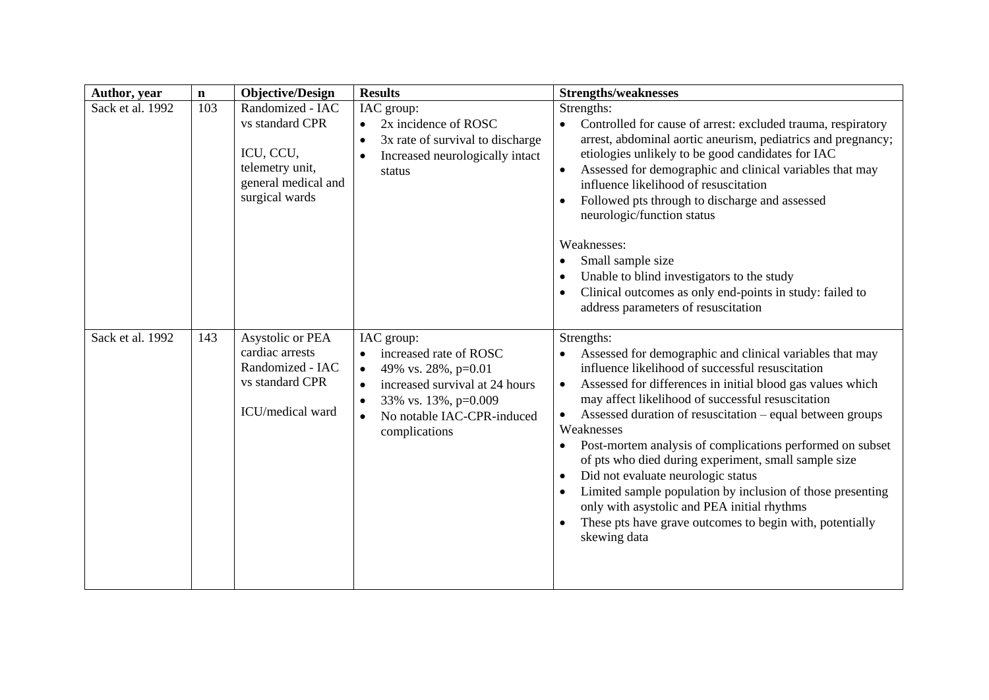| Author, year     | $\mathbf n$ | <b>Objective/Design</b>                                                                                      | <b>Results</b>                                                                                                                                                                                                           | <b>Strengths/weaknesses</b>                                                                                                                                                                                                                                                                                                                                                                                                                                                                                                                                                                                                                                                                                                                                             |
|------------------|-------------|--------------------------------------------------------------------------------------------------------------|--------------------------------------------------------------------------------------------------------------------------------------------------------------------------------------------------------------------------|-------------------------------------------------------------------------------------------------------------------------------------------------------------------------------------------------------------------------------------------------------------------------------------------------------------------------------------------------------------------------------------------------------------------------------------------------------------------------------------------------------------------------------------------------------------------------------------------------------------------------------------------------------------------------------------------------------------------------------------------------------------------------|
| Sack et al. 1992 | 103         | Randomized - IAC<br>vs standard CPR<br>ICU, CCU,<br>telemetry unit,<br>general medical and<br>surgical wards | IAC group:<br>2x incidence of ROSC<br>3x rate of survival to discharge<br>$\bullet$<br>Increased neurologically intact<br>$\bullet$<br>status                                                                            | Strengths:<br>Controlled for cause of arrest: excluded trauma, respiratory<br>$\bullet$<br>arrest, abdominal aortic aneurism, pediatrics and pregnancy;<br>etiologies unlikely to be good candidates for IAC<br>Assessed for demographic and clinical variables that may<br>$\bullet$<br>influence likelihood of resuscitation<br>Followed pts through to discharge and assessed<br>$\bullet$<br>neurologic/function status<br>Weaknesses:<br>Small sample size<br>$\bullet$<br>Unable to blind investigators to the study<br>$\bullet$<br>Clinical outcomes as only end-points in study: failed to<br>$\bullet$<br>address parameters of resuscitation                                                                                                                 |
| Sack et al. 1992 | 143         | Asystolic or PEA<br>cardiac arrests<br>Randomized - IAC<br>vs standard CPR<br>ICU/medical ward               | IAC group:<br>increased rate of ROSC<br>49% vs. 28%, p=0.01<br>$\bullet$<br>increased survival at 24 hours<br>$\bullet$<br>33% vs. 13%, p=0.009<br>$\bullet$<br>No notable IAC-CPR-induced<br>$\bullet$<br>complications | Strengths:<br>Assessed for demographic and clinical variables that may<br>$\bullet$<br>influence likelihood of successful resuscitation<br>Assessed for differences in initial blood gas values which<br>$\bullet$<br>may affect likelihood of successful resuscitation<br>Assessed duration of resuscitation – equal between groups<br>$\bullet$<br>Weaknesses<br>Post-mortem analysis of complications performed on subset<br>$\bullet$<br>of pts who died during experiment, small sample size<br>Did not evaluate neurologic status<br>$\bullet$<br>Limited sample population by inclusion of those presenting<br>$\bullet$<br>only with asystolic and PEA initial rhythms<br>These pts have grave outcomes to begin with, potentially<br>$\bullet$<br>skewing data |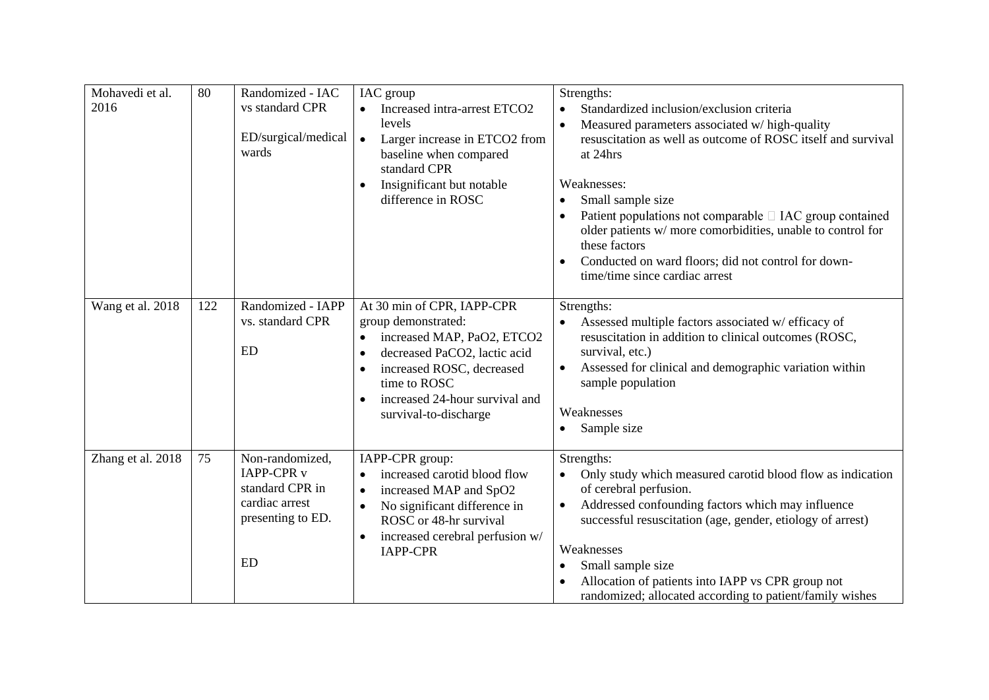| Mohavedi et al.<br>2016 | 80  | Randomized - IAC<br>vs standard CPR<br>ED/surgical/medical<br>wards                                         | IAC group<br>Increased intra-arrest ETCO2<br>levels<br>Larger increase in ETCO2 from<br>$\bullet$<br>baseline when compared<br>standard CPR<br>Insignificant but notable<br>difference in ROSC                                                                 | Strengths:<br>Standardized inclusion/exclusion criteria<br>$\bullet$<br>Measured parameters associated w/ high-quality<br>resuscitation as well as outcome of ROSC itself and survival<br>at 24hrs<br>Weaknesses:<br>Small sample size<br>Patient populations not comparable $\Box$ IAC group contained<br>older patients w/ more comorbidities, unable to control for<br>these factors<br>Conducted on ward floors; did not control for down-<br>time/time since cardiac arrest |
|-------------------------|-----|-------------------------------------------------------------------------------------------------------------|----------------------------------------------------------------------------------------------------------------------------------------------------------------------------------------------------------------------------------------------------------------|----------------------------------------------------------------------------------------------------------------------------------------------------------------------------------------------------------------------------------------------------------------------------------------------------------------------------------------------------------------------------------------------------------------------------------------------------------------------------------|
| Wang et al. 2018        | 122 | Randomized - IAPP<br>vs. standard CPR<br><b>ED</b>                                                          | At 30 min of CPR, IAPP-CPR<br>group demonstrated:<br>increased MAP, PaO2, ETCO2<br>$\bullet$<br>decreased PaCO2, lactic acid<br>$\bullet$<br>increased ROSC, decreased<br>time to ROSC<br>increased 24-hour survival and<br>$\bullet$<br>survival-to-discharge | Strengths:<br>Assessed multiple factors associated w/ efficacy of<br>resuscitation in addition to clinical outcomes (ROSC,<br>survival, etc.)<br>Assessed for clinical and demographic variation within<br>sample population<br>Weaknesses<br>Sample size                                                                                                                                                                                                                        |
| Zhang et al. 2018       | 75  | Non-randomized,<br><b>IAPP-CPR v</b><br>standard CPR in<br>cardiac arrest<br>presenting to ED.<br><b>ED</b> | IAPP-CPR group:<br>increased carotid blood flow<br>$\bullet$<br>increased MAP and SpO2<br>$\bullet$<br>No significant difference in<br>$\bullet$<br>ROSC or 48-hr survival<br>increased cerebral perfusion w/<br>$\bullet$<br><b>IAPP-CPR</b>                  | Strengths:<br>Only study which measured carotid blood flow as indication<br>of cerebral perfusion.<br>Addressed confounding factors which may influence<br>$\bullet$<br>successful resuscitation (age, gender, etiology of arrest)<br>Weaknesses<br>Small sample size<br>Allocation of patients into IAPP vs CPR group not<br>randomized; allocated according to patient/family wishes                                                                                           |